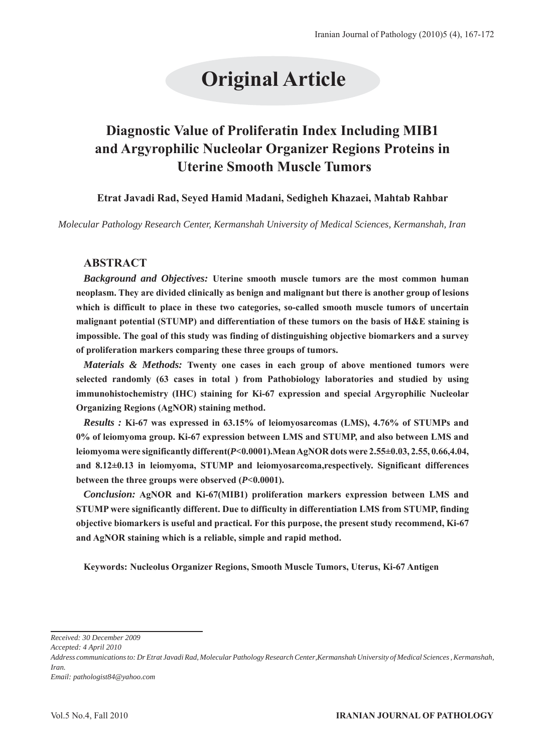# **Original Article**

# **Diagnostic Value of Proliferatin Index Including MIB1 and Argyrophilic Nucleolar Organizer Regions Proteins in Uterine Smooth Muscle Tumors**

**Etrat Javadi Rad, Seyed Hamid Madani, Sedigheh Khazaei, Mahtab Rahbar**

*Molecular Pathology Research Center, Kermanshah University of Medical Sciences, Kermanshah, Iran*

# **ABSTRACT**

*Background and Objectives:* **Uterine smooth muscle tumors are the most common human neoplasm. They are divided clinically as benign and malignant but there is another group of lesions which is difficult to place in these two categories, so-called smooth muscle tumors of uncertain malignant potential (STUMP) and differentiation of these tumors on the basis of H&E staining is impossible. The goal of this study was finding of distinguishing objective biomarkers and a survey of proliferation markers comparing these three groups of tumors.** 

*Materials & Methods:* **Twenty one cases in each group of above mentioned tumors were selected randomly (63 cases in total ) from Pathobiology laboratories and studied by using immunohistochemistry (IHC) staining for Ki-67 expression and special Argyrophilic Nucleolar Organizing Regions (AgNOR) staining method.**

*Results :* **Ki-67 was expressed in 63.15% of leiomyosarcomas (LMS), 4.76% of STUMPs and 0% of leiomyoma group. Ki-67 expression between LMS and STUMP, and also between LMS and leiomyoma were significantly different(***P<***0.0001).Mean AgNOR dots were 2.55± 0.03 , 2.55, 0.66,4.04, and 8.12±0.13 in leiomyoma, STUMP and leiomyosarcoma,respectively. Significant differences between the three groups were observed (***P<***0.0001).**

*Conclusion:* **AgNOR and Ki-67(MIB1) proliferation markers expression between LMS and STUMP were significantly different. Due to difficulty in differentiation LMS from STUMP, finding objective biomarkers is useful and practical. For this purpose, the present study recommend, Ki-67 and AgNOR staining which is a reliable, simple and rapid method.**

**Keywords: Nucleolus Organizer Regions, Smooth Muscle Tumors, Uterus, Ki-67 Antigen**

*Received: 30 December 2009*

*Accepted: 4 April 2010*

*Address communications to: Dr Etrat Javadi Rad, Molecular Pathology Research Center,Kermanshah University of Medical Sciences , Kermanshah, Iran.*

*Email: pathologist84@yahoo.com*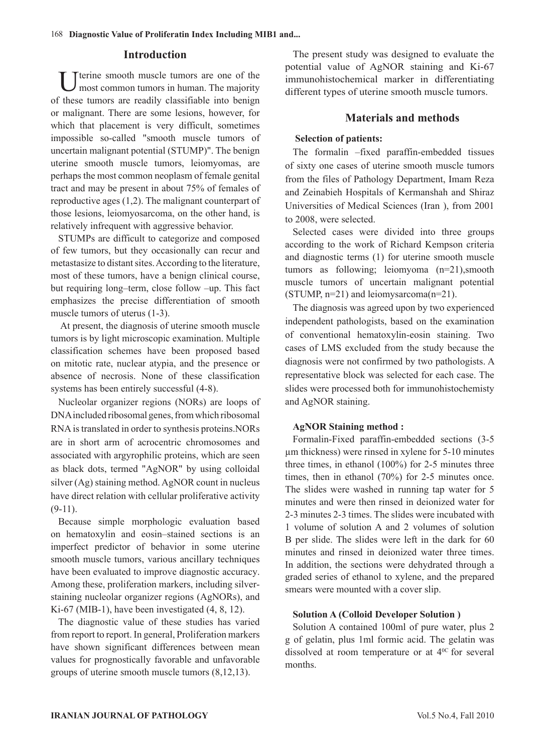# **Introduction**

U terine smooth muscle tumors are one of the most common tumors in human. The majority of these tumors are readily classifiable into benign or malignant. There are some lesions, however, for which that placement is very difficult, sometimes impossible so-called "smooth muscle tumors of uncertain malignant potential (STUMP)". The benign uterine smooth muscle tumors, leiomyomas, are perhaps the most common neoplasm of female genital tract and may be present in about 75% of females of reproductive ages (1,2). The malignant counterpart of those lesions, leiomyosarcoma, on the other hand, is relatively infrequent with aggressive behavior.

STUMPs are difficult to categorize and composed of few tumors, but they occasionally can recur and metastasize to distant sites. According to the literature, most of these tumors, have a benign clinical course, but requiring long–term, close follow –up. This fact emphasizes the precise differentiation of smooth muscle tumors of uterus  $(1-3)$ .

 At present, the diagnosis of uterine smooth muscle tumors is by light microscopic examination. Multiple classification schemes have been proposed based on mitotic rate, nuclear atypia, and the presence or absence of necrosis. None of these classification systems has been entirely successful  $(4-8)$ .

Nucleolar organizer regions (NORs) are loops of DNA included ribosomal genes, from which ribosomal RNA is translated in order to synthesis proteins.NORs are in short arm of acrocentric chromosomes and associated with argyrophilic proteins, which are seen as black dots, termed "AgNOR" by using colloidal silver (Ag) staining method. AgNOR count in nucleus have direct relation with cellular proliferative activity  $(9-11)$ .

Because simple morphologic evaluation based on hematoxylin and eosin–stained sections is an imperfect predictor of behavior in some uterine smooth muscle tumors, various ancillary techniques have been evaluated to improve diagnostic accuracy. Among these, proliferation markers, including silverstaining nucleolar organizer regions (AgNORs), and Ki-67 (MIB-1), have been investigated (4, 8, 12).

The diagnostic value of these studies has varied from report to report. In general, Proliferation markers have shown significant differences between mean values for prognostically favorable and unfavorable groups of uterine smooth muscle tumors (8,12,13).

The present study was designed to evaluate the potential value of AgNOR staining and Ki-67 immunohistochemical marker in differentiating different types of uterine smooth muscle tumors.

# **Materials and methods**

# **Selection of patients:**

The formalin –fixed paraffin-embedded tissues of sixty one cases of uterine smooth muscle tumors from the files of Pathology Department, Imam Reza and Zeinabieh Hospitals of Kermanshah and Shiraz Universities of Medical Sciences (Iran ), from 2001 to 2008, were selected.

Selected cases were divided into three groups according to the work of Richard Kempson criteria and diagnostic terms (1) for uterine smooth muscle tumors as following; leiomyoma (n=21),smooth muscle tumors of uncertain malignant potential (STUMP, n=21) and leiomysarcoma(n=21).

The diagnosis was agreed upon by two experienced independent pathologists, based on the examination of conventional hematoxylin-eosin staining. Two cases of LMS excluded from the study because the diagnosis were not confirmed by two pathologists. A representative block was selected for each case. The slides were processed both for immunohistochemisty and AgNOR staining.

#### **AgNOR Staining method :**

Formalin-Fixed paraffin-embedded sections (3-5 μm thickness) were rinsed in xylene for 5-10 minutes three times, in ethanol (100%) for 2-5 minutes three times, then in ethanol (70%) for 2-5 minutes once. The slides were washed in running tap water for 5 minutes and were then rinsed in deionized water for 2-3 minutes 2-3 times. The slides were incubated with 1 volume of solution A and 2 volumes of solution B per slide. The slides were left in the dark for 60 minutes and rinsed in deionized water three times. In addition, the sections were dehydrated through a graded series of ethanol to xylene, and the prepared smears were mounted with a cover slip.

#### **Solution A (Colloid Developer Solution )**

Solution A contained 100ml of pure water, plus 2 g of gelatin, plus 1ml formic acid. The gelatin was dissolved at room temperature or at 4<sup>0C</sup> for several months.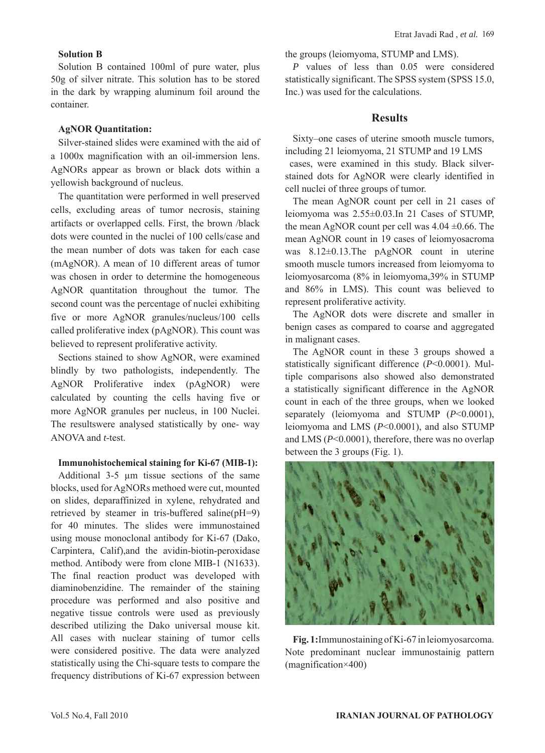#### **Solution B**

Solution B contained 100ml of pure water, plus 50g of silver nitrate. This solution has to be stored in the dark by wrapping aluminum foil around the container.

#### **AgNOR Quantitation:**

Silver-stained slides were examined with the aid of a 1000x magnification with an oil-immersion lens. AgNORs appear as brown or black dots within a yellowish background of nucleus.

The quantitation were performed in well preserved cells, excluding areas of tumor necrosis, staining artifacts or overlapped cells. First, the brown /black dots were counted in the nuclei of 100 cells/case and the mean number of dots was taken for each case (mAgNOR). A mean of 10 different areas of tumor was chosen in order to determine the homogeneous AgNOR quantitation throughout the tumor. The second count was the percentage of nuclei exhibiting five or more AgNOR granules/nucleus/100 cells called proliferative index (pAgNOR). This count was believed to represent proliferative activity.

Sections stained to show AgNOR, were examined blindly by two pathologists, independently. The AgNOR Proliferative index (pAgNOR) were calculated by counting the cells having five or more AgNOR granules per nucleus, in 100 Nuclei. The resultswere analysed statistically by one- way ANOVA and *t*-test.

#### **Immunohistochemical staining for Ki-67 (MIB-1):**

Additional 3-5 μm tissue sections of the same blocks, used for AgNORs methoed were cut, mounted on slides, deparaffinized in xylene, rehydrated and retrieved by steamer in tris-buffered saline(pH=9) for 40 minutes. The slides were immunostained using mouse monoclonal antibody for Ki-67 (Dako, Carpintera, Calif),and the avidin-biotin-peroxidase method. Antibody were from clone MIB-1 (N1633). The final reaction product was developed with diaminobenzidine. The remainder of the staining procedure was performed and also positive and negative tissue controls were used as previously described utilizing the Dako universal mouse kit. All cases with nuclear staining of tumor cells were considered positive. The data were analyzed statistically using the Chi-square tests to compare the frequency distributions of Ki-67 expression between the groups (leiomyoma, STUMP and LMS).

*P* values of less than 0.05 were considered statistically significant. The SPSS system (SPSS 15.0, Inc.) was used for the calculations.

# **Results**

Sixty–one cases of uterine smooth muscle tumors, including 21 leiomyoma, 21 STUMP and 19 LMS

 cases, were examined in this study. Black silverstained dots for AgNOR were clearly identified in cell nuclei of three groups of tumor.

The mean AgNOR count per cell in 21 cases of leiomyoma was  $2.55 \pm 0.03$ . In 21 Cases of STUMP, the mean AgNOR count per cell was  $4.04 \pm 0.66$ . The mean AgNOR count in 19 cases of leiomyosacroma was 8.12±0.13.The pAgNOR count in uterine smooth muscle tumors increased from leiomyoma to leiomyosarcoma (8% in leiomyoma,39% in STUMP and 86% in LMS). This count was believed to represent proliferative activity.

The AgNOR dots were discrete and smaller in benign cases as compared to coarse and aggregated in malignant cases.

The AgNOR count in these 3 groups showed a statistically significant difference (*P*<0.0001). Multiple comparisons also showed also demonstrated a statistically significant difference in the AgNOR count in each of the three groups, when we looked separately (leiomyoma and STUMP (*P*<0.0001), leiomyoma and LMS (*P*<0.0001), and also STUMP and LMS (*P*<0.0001), therefore, there was no overlap between the 3 groups (Fig. 1).



**Fig. 1:**Immunostaining of Ki-67 in leiomyosarcoma. Note predominant nuclear immunostainig pattern (magnification×400)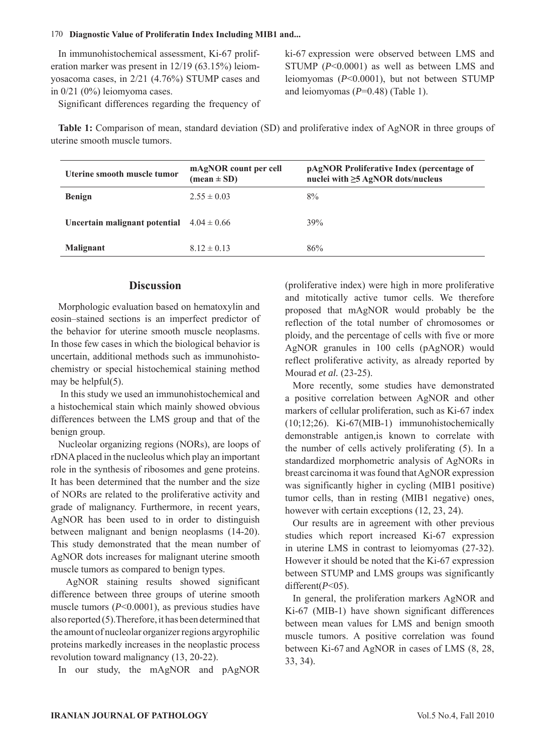#### 170 **Diagnostic Value of Proliferatin Index Including MIB1 and...**

In immunohistochemical assessment, Ki-67 proliferation marker was present in 12/19 (63.15%) leiomyosacoma cases, in 2/21 (4.76%) STUMP cases and in 0/21 (0%) leiomyoma cases.

Significant differences regarding the frequency of

ki-67 expression were observed between LMS and STUMP (*P*<0.0001) as well as between LMS and leiomyomas (*P*<0.0001), but not between STUMP and leiomyomas (*P*=0.48) (Table 1).

**Table 1:** Comparison of mean, standard deviation (SD) and proliferative index of AgNOR in three groups of uterine smooth muscle tumors.

| Uterine smooth muscle tumor   | mAgNOR count per cell<br>$(\text{mean} \pm \text{SD})$ | pAgNOR Proliferative Index (percentage of<br>nuclei with $\geq$ 5 AgNOR dots/nucleus |
|-------------------------------|--------------------------------------------------------|--------------------------------------------------------------------------------------|
| <b>Benign</b>                 | $2.55 \pm 0.03$                                        | 8%                                                                                   |
| Uncertain malignant potential | $4.04 \pm 0.66$                                        | 39%                                                                                  |
| <b>Malignant</b>              | $8.12 \pm 0.13$                                        | 86%                                                                                  |

# **Discussion**

Morphologic evaluation based on hematoxylin and eosin–stained sections is an imperfect predictor of the behavior for uterine smooth muscle neoplasms. In those few cases in which the biological behavior is uncertain, additional methods such as immunohistochemistry or special histochemical staining method may be helpful(5).

 In this study we used an immunohistochemical and a histochemical stain which mainly showed obvious differences between the LMS group and that of the benign group.

Nucleolar organizing regions (NORs), are loops of rDNA placed in the nucleolus which play an important role in the synthesis of ribosomes and gene proteins. It has been determined that the number and the size of NORs are related to the proliferative activity and grade of malignancy. Furthermore, in recent years, AgNOR has been used to in order to distinguish between malignant and benign neoplasms (14-20). This study demonstrated that the mean number of AgNOR dots increases for malignant uterine smooth muscle tumors as compared to benign types.

 AgNOR staining results showed significant difference between three groups of uterine smooth muscle tumors (*P*<0.0001), as previous studies have also reported (5).Therefore, it has been determined that the amount of nucleolar organizer regions argyrophilic proteins markedly increases in the neoplastic process revolution toward malignancy (13, 20-22).

In our study, the mAgNOR and pAgNOR

(proliferative index) were high in more proliferative and mitotically active tumor cells. We therefore proposed that mAgNOR would probably be the reflection of the total number of chromosomes or ploidy, and the percentage of cells with five or more AgNOR granules in 100 cells (pAgNOR) would reflect proliferative activity, as already reported by Mourad *et al.* (23-25).

More recently, some studies have demonstrated a positive correlation between AgNOR and other markers of cellular proliferation, such as Ki-67 index (10;12;26). Ki-67(MIB-1) immunohistochemically demonstrable antigen,is known to correlate with the number of cells actively proliferating (5). In a standardized morphometric analysis of AgNORs in breast carcinoma it was found that AgNOR expression was significantly higher in cycling (MIB1 positive) tumor cells, than in resting (MIB1 negative) ones, however with certain exceptions (12, 23, 24).

Our results are in agreement with other previous studies which report increased Ki-67 expression in uterine LMS in contrast to leiomyomas (27-32). However it should be noted that the Ki-67 expression between STUMP and LMS groups was significantly different(*P*<05).

In general, the proliferation markers AgNOR and Ki-67 (MIB-1) have shown significant differences between mean values for LMS and benign smooth muscle tumors. A positive correlation was found between Ki-67 and AgNOR in cases of LMS  $(8, 28, 10)$ 33, 34).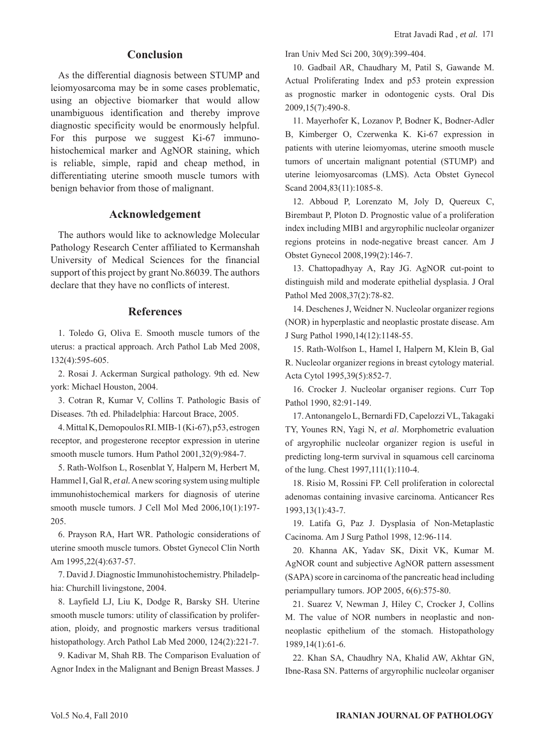# **Conclusion**

As the differential diagnosis between STUMP and leiomyosarcoma may be in some cases problematic, using an objective biomarker that would allow unambiguous identification and thereby improve diagnostic specificity would be enormously helpful. For this purpose we suggest Ki-67 immunohistochemical marker and AgNOR staining, which is reliable, simple, rapid and cheap method, in differentiating uterine smooth muscle tumors with benign behavior from those of malignant.

#### **Acknowledgement**

The authors would like to acknowledge Molecular Pathology Research Center affiliated to Kermanshah University of Medical Sciences for the financial support of this project by grant No.86039. The authors declare that they have no conflicts of interest.

#### **References**

1. Toledo G, Oliva E. Smooth muscle tumors of the uterus: a practical approach. Arch Pathol Lab Med 2008, 132(4):595-605.

2. Rosai J. Ackerman Surgical pathology. 9th ed. New york: Michael Houston, 2004.

3. Cotran R, Kumar V, Collins T. Pathologic Basis of Diseases. 7th ed. Philadelphia: Harcout Brace, 2005.

4. Mittal K, Demopoulos RI. MIB-1 (Ki-67), p53, estrogen receptor, and progesterone receptor expression in uterine smooth muscle tumors. Hum Pathol 2001,32(9):984-7.

5. Rath-Wolfson L, Rosenblat Y, Halpern M, Herbert M, Hammel I, Gal R, *et al.* A new scoring system using multiple immunohistochemical markers for diagnosis of uterine smooth muscle tumors. J Cell Mol Med 2006,10(1):197- 205.

6. Prayson RA, Hart WR. Pathologic considerations of uterine smooth muscle tumors. Obstet Gynecol Clin North Am 1995,22(4):637-57.

7. David J. Diagnostic Immunohistochemistry. Philadelphia: Churchill livingstone, 2004.

8. Layfield LJ, Liu K, Dodge R, Barsky SH. Uterine smooth muscle tumors: utility of classification by proliferation, ploidy, and prognostic markers versus traditional histopathology. Arch Pathol Lab Med 2000, 124(2):221-7.

9. Kadivar M, Shah RB. The Comparison Evaluation of Agnor Index in the Malignant and Benign Breast Masses. J

Iran Univ Med Sci 200, 30(9):399-404.

10. Gadbail AR, Chaudhary M, Patil S, Gawande M. Actual Proliferating Index and p53 protein expression as prognostic marker in odontogenic cysts. Oral Dis 2009,15(7):490-8.

11. Mayerhofer K, Lozanov P, Bodner K, Bodner-Adler B, Kimberger O, Czerwenka K. Ki-67 expression in patients with uterine leiomyomas, uterine smooth muscle tumors of uncertain malignant potential (STUMP) and uterine leiomyosarcomas (LMS). Acta Obstet Gynecol Scand 2004,83(11):1085-8.

12. Abboud P, Lorenzato M, Joly D, Quereux C, Birembaut P, Ploton D. Prognostic value of a proliferation index including MIB1 and argyrophilic nucleolar organizer regions proteins in node-negative breast cancer. Am J Obstet Gynecol 2008,199(2):146-7.

13. Chattopadhyay A, Ray JG. AgNOR cut-point to distinguish mild and moderate epithelial dysplasia. J Oral Pathol Med 2008,37(2):78-82.

14. Deschenes J, Weidner N. Nucleolar organizer regions (NOR) in hyperplastic and neoplastic prostate disease. Am J Surg Pathol 1990,14(12):1148-55.

15. Rath-Wolfson L, Hamel I, Halpern M, Klein B, Gal R. Nucleolar organizer regions in breast cytology material. Acta Cytol 1995,39(5):852-7.

16. Crocker J. Nucleolar organiser regions. Curr Top Pathol 1990, 82:91-149.

17. Antonangelo L, Bernardi FD, Capelozzi VL, Takagaki TY, Younes RN, Yagi N, *et al*. Morphometric evaluation of argyrophilic nucleolar organizer region is useful in predicting long-term survival in squamous cell carcinoma of the lung. Chest 1997,111(1):110-4.

18. Risio M, Rossini FP. Cell proliferation in colorectal adenomas containing invasive carcinoma. Anticancer Res 1993,13(1):43-7.

19. Latifa G, Paz J. Dysplasia of Non-Metaplastic Cacinoma. Am J Surg Pathol 1998, 12:96-114.

20. Khanna AK, Yadav SK, Dixit VK, Kumar M. AgNOR count and subjective AgNOR pattern assessment (SAPA) score in carcinoma of the pancreatic head including periampullary tumors. JOP 2005, 6(6):575-80.

21. Suarez V, Newman J, Hiley C, Crocker J, Collins M. The value of NOR numbers in neoplastic and nonneoplastic epithelium of the stomach. Histopathology 1989,14(1):61-6.

22. Khan SA, Chaudhry NA, Khalid AW, Akhtar GN, Ibne-Rasa SN. Patterns of argyrophilic nucleolar organiser